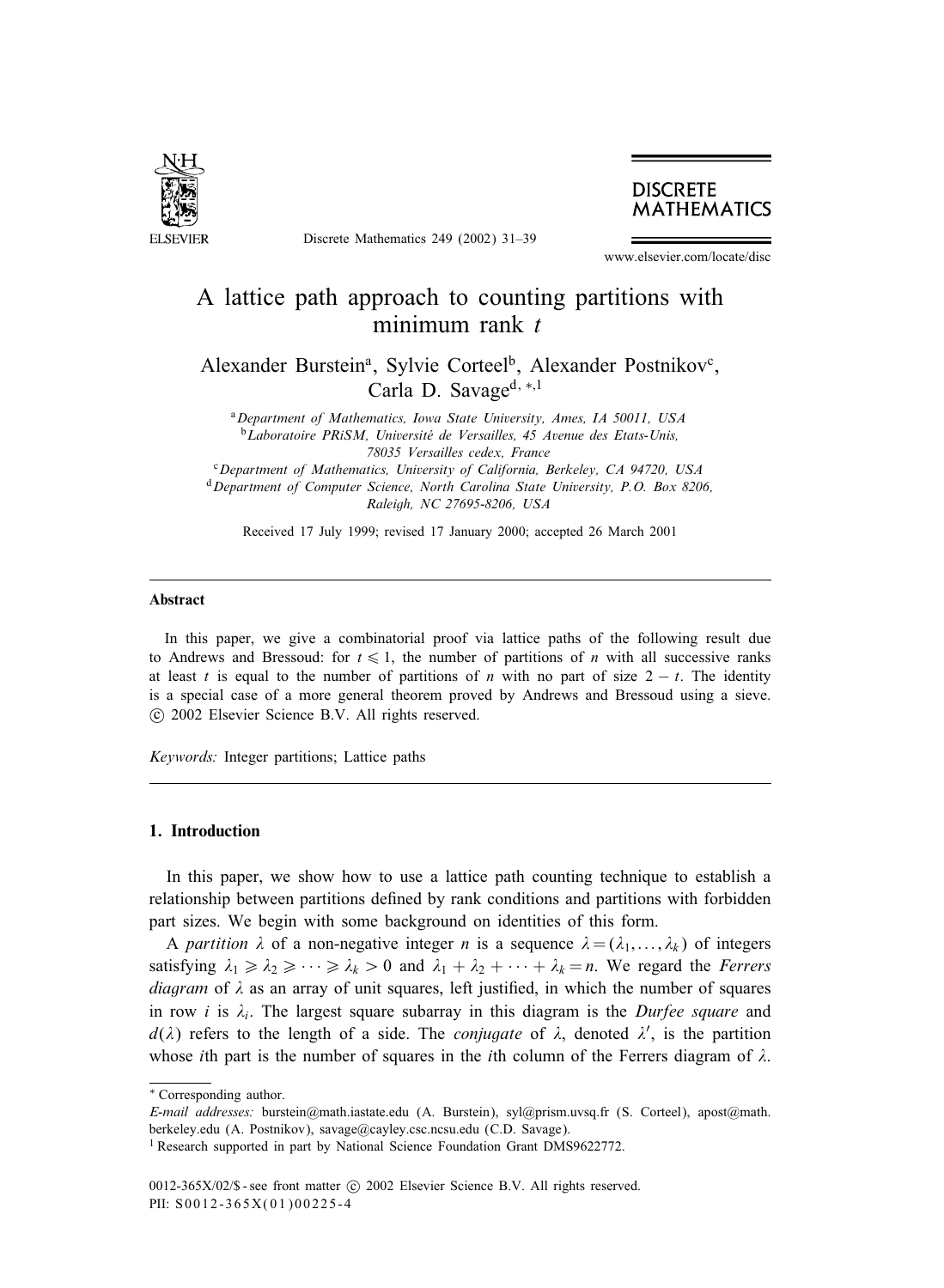

Discrete Mathematics 249 (2002) 31–39



www.elsevier.com/locate/disc

# A lattice path approach to counting partitions with minimum rank t

Alexander Burstein<sup>a</sup>, Sylvie Corteel<sup>b</sup>, Alexander Postnikov<sup>c</sup>, Carla D. Savage<sup>d, ∗,1</sup>

<sup>a</sup>*Department of Mathematics, Iowa State University, Ames, IA 50011, USA* <sup>b</sup>*Laboratoire PRiSM, Universite de Versailles, 45 Avenue des Etats-Unis, 78035 Versailles cedex, France* <sup>c</sup>*Department of Mathematics, University of California, Berkeley, CA 94720, USA*

<sup>d</sup>*Department of Computer Science, North Carolina State University, P.O. Box 8206, Raleigh, NC 27695-8206, USA*

Received 17 July 1999; revised 17 January 2000; accepted 26 March 2001

#### Abstract

In this paper, we give a combinatorial proof via lattice paths of the following result due to Andrews and Bressoud: for  $t \leq 1$ , the number of partitions of *n* with all successive ranks at least t is equal to the number of partitions of n with no part of size  $2 - t$ . The identity is a special case of a more general theorem proved by Andrews and Bressoud using a sieve. -c 2002 Elsevier Science B.V. All rights reserved.

*Keywords:* Integer partitions; Lattice paths

## 1. Introduction

In this paper, we show how to use a lattice path counting technique to establish a relationship between partitions defined by rank conditions and partitions with forbidden part sizes. We begin with some background on identities of this form.

A *partition*  $\lambda$  of a non-negative integer *n* is a sequence  $\lambda = (\lambda_1, \dots, \lambda_k)$  of integers satisfying  $\lambda_1 \geq \lambda_2 \geq \cdots \geq \lambda_k > 0$  and  $\lambda_1 + \lambda_2 + \cdots + \lambda_k = n$ . We regard the *Ferrers diagram* of  $\lambda$  as an array of unit squares, left justified, in which the number of squares in row i is  $\lambda_i$ . The largest square subarray in this diagram is the *Durfee square* and  $d(\lambda)$  refers to the length of a side. The *conjugate* of  $\lambda$ , denoted  $\lambda'$ , is the partition whose *i*th part is the number of squares in the *i*th column of the Ferrers diagram of  $\lambda$ .

<sup>∗</sup> Correspondingauthor.

*E-mail addresses:* burstein@math.iastate.edu (A. Burstein), syl@prism.uvsq.fr (S. Corteel), apost@math. berkeley.edu (A. Postnikov), savage@cayley.csc.ncsu.edu (C.D. Savage).

<sup>&</sup>lt;sup>1</sup> Research supported in part by National Science Foundation Grant DMS9622772.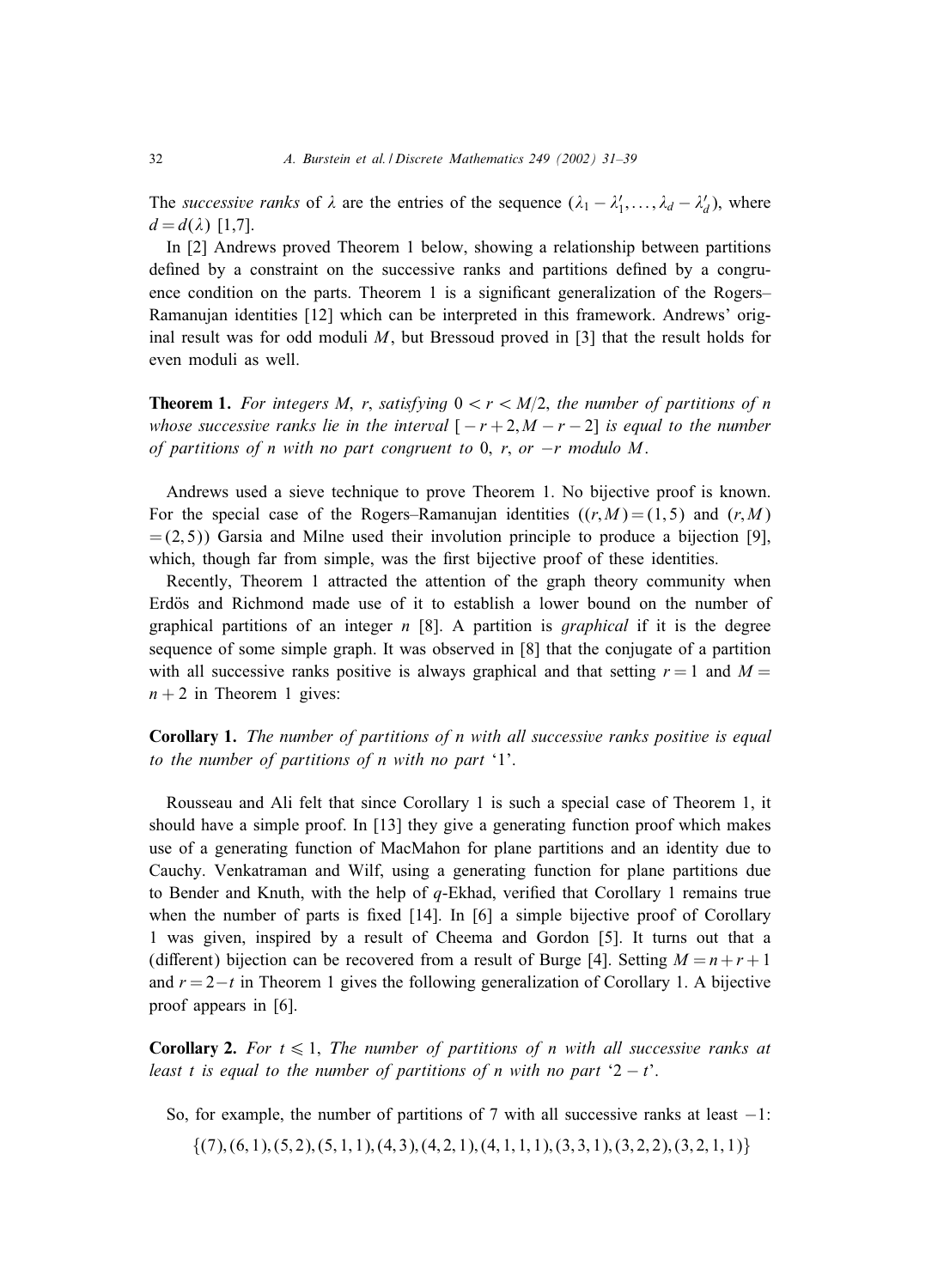The *successive ranks* of  $\lambda$  are the entries of the sequence  $(\lambda_1 - \lambda'_1, \dots, \lambda_d - \lambda'_d)$ , where  $d = d(\lambda)$  [1,7].

In [2] Andrews proved Theorem 1 below, showinga relationship between partitions defined by a constraint on the successive ranks and partitions defined by a congruence condition on the parts. Theorem 1 is a significant generalization of the Rogers– Ramanujan identities [12] which can be interpreted in this framework. Andrews' original result was for odd moduli M, but Bressoud proved in  $[3]$  that the result holds for even moduli as well.

**Theorem 1.** For integers M, r, satisfying  $0 < r < M/2$ , the number of partitions of n *whose successive ranks lie in the interval*  $[-r+2, M-r-2]$  *is equal to the number of partitions of* n *with no part congruent to* 0; r; *or* −r *modulo* M.

Andrews used a sieve technique to prove Theorem 1. No bijective proof is known. For the special case of the Rogers–Ramanujan identities  $((r, M) = (1, 5)$  and  $(r, M)$  $= (2, 5)$ ) Garsia and Milne used their involution principle to produce a bijection [9], which, though far from simple, was the first bijective proof of these identities.

Recently, Theorem 1 attracted the attention of the graph theory community when Erdös and Richmond made use of it to establish a lower bound on the number of graphical partitions of an integer n [8]. A partition is *graphical* if it is the degree sequence of some simple graph. It was observed in [8] that the conjugate of a partition with all successive ranks positive is always graphical and that setting  $r = 1$  and  $M =$  $n + 2$  in Theorem 1 gives:

Corollary 1. *The number of partitions of n with all successive ranks positive is equal to the number of partitions of n with no part* '1'.

Rousseau and Ali felt that since Corollary 1 is such a special case of Theorem 1, it should have a simple proof. In [13] they give a generating function proof which makes use of a generating function of MacMahon for plane partitions and an identity due to Cauchy. Venkatraman and Wilf, using a generating function for plane partitions due to Bender and Knuth, with the help of  $q$ -Ekhad, verified that Corollary 1 remains true when the number of parts is fixed  $[14]$ . In  $[6]$  a simple bijective proof of Corollary 1 was given, inspired by a result of Cheema and Gordon [5]. It turns out that a (different) bijection can be recovered from a result of Burge [4]. Setting  $M = n + r + 1$ and  $r = 2-t$  in Theorem 1 gives the following generalization of Corollary 1. A bijective proof appears in [6].

**Corollary 2.** For  $t \leq 1$ , The number of partitions of *n* with all successive ranks at *least t is equal to the number of partitions of n with no part*  $2 - t$ .

- So, for example, the number of partitions of 7 with all successive ranks at least  $-1$ :
	- $\{(7),(6,1),(5,2),(5,1,1),(4,3),(4,2,1),(4,1,1,1),(3,3,1),(3,2,2),(3,2,1,1)\}\$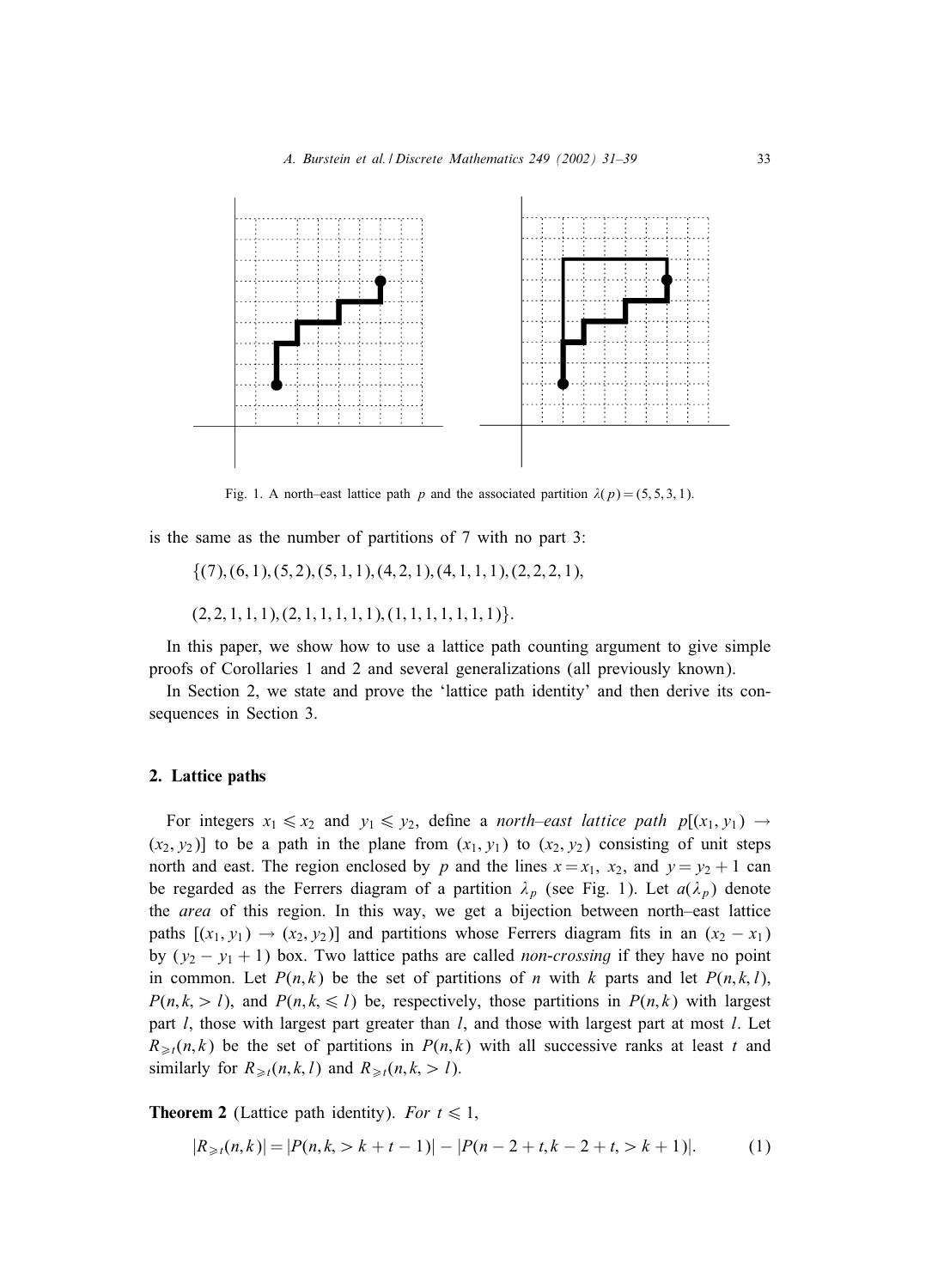

Fig. 1. A north–east lattice path p and the associated partition  $\lambda(p) = (5, 5, 3, 1)$ .

is the same as the number of partitions of 7 with no part 3:

 $\{(7),(6,1),(5,2),(5,1,1),(4,2,1),(4,1,1,1),(2,2,2,1)\}$ 

 $(2, 2, 1, 1, 1), (2, 1, 1, 1, 1), (1, 1, 1, 1, 1, 1, 1).$ 

In this paper, we show how to use a lattice path counting argument to give simple proofs of Corollaries 1 and 2 and several generalizations (all previously known).

In Section 2, we state and prove the 'lattice path identity' and then derive its consequences in Section 3.

## 2. Lattice paths

For integers  $x_1 \le x_2$  and  $y_1 \le y_2$ , define a *north–east lattice path*  $p[(x_1, y_1) \rightarrow$  $(x_2, y_2)$ ] to be a path in the plane from  $(x_1, y_1)$  to  $(x_2, y_2)$  consisting of unit steps north and east. The region enclosed by p and the lines  $x = x_1$ ,  $x_2$ , and  $y = y_2 + 1$  can be regarded as the Ferrers diagram of a partition  $\lambda_p$  (see Fig. 1). Let  $a(\lambda_p)$  denote the *area* of this region. In this way, we get a bijection between north–east lattice paths  $[(x_1, y_1) \rightarrow (x_2, y_2)]$  and partitions whose Ferrers diagram fits in an  $(x_2 - x_1)$ by  $(y_2 - y_1 + 1)$  box. Two lattice paths are called *non-crossing* if they have no point in common. Let  $P(n, k)$  be the set of partitions of n with k parts and let  $P(n, k, l)$ ,  $P(n, k, > l)$ , and  $P(n, k, \leq l)$  be, respectively, those partitions in  $P(n, k)$  with largest part  $l$ , those with largest part greater than  $l$ , and those with largest part at most  $l$ . Let  $R_{\geq t}(n,k)$  be the set of partitions in  $P(n,k)$  with all successive ranks at least t and similarly for  $R_{\geq t}(n, k, l)$  and  $R_{\geq t}(n, k, l)$ .

**Theorem 2** (Lattice path identity). *For*  $t \le 1$ ,

$$
|R_{\geq t}(n,k)| = |P(n,k, > k+t-1)| - |P(n-2+t,k-2+t, > k+1)|. \tag{1}
$$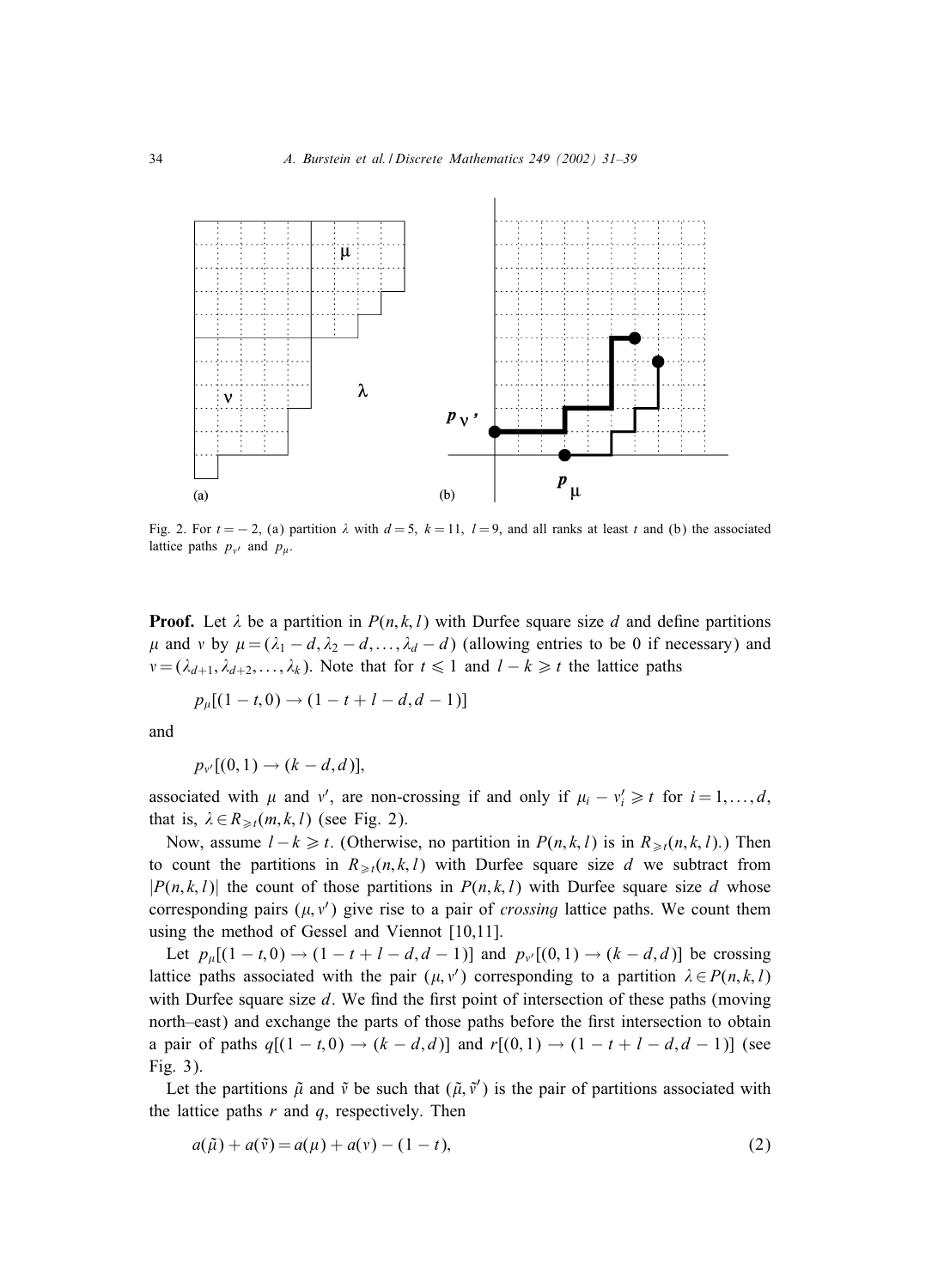

Fig. 2. For  $t = -2$ , (a) partition  $\lambda$  with  $d = 5$ ,  $k = 11$ ,  $l = 9$ , and all ranks at least t and (b) the associated lattice paths  $p_{v'}$  and  $p_{\mu}$ .

**Proof.** Let  $\lambda$  be a partition in  $P(n, k, l)$  with Durfee square size d and define partitions  $\mu$  and v by  $\mu = (\lambda_1 - d, \lambda_2 - d, ..., \lambda_d - d)$  (allowing entries to be 0 if necessary) and  $v = (\lambda_{d+1}, \lambda_{d+2},..., \lambda_k)$ . Note that for  $t \leq 1$  and  $l - k \geq t$  the lattice paths

$$
p_{\mu}[(1-t,0) \to (1-t+l-d,d-1)]
$$

and

$$
p_{v'}[(0,1)\rightarrow (k-d,d)],
$$

associated with  $\mu$  and  $v'$ , are non-crossing if and only if  $\mu_i - v'_i \geq t$  for  $i = 1, ..., d$ , that is,  $\lambda \in R_{\geq t}(m, k, l)$  (see Fig. 2).

Now, assume  $l-k \geq t$ . (Otherwise, no partition in  $P(n, k, l)$  is in  $R_{\geq t}(n, k, l)$ .) Then to count the partitions in  $R_{\geq t}(n, k, l)$  with Durfee square size d we subtract from  $|P(n, k, l)|$  the count of those partitions in  $P(n, k, l)$  with Durfee square size d whose corresponding pairs  $(\mu, v')$  give rise to a pair of *crossing* lattice paths. We count them using the method of Gessel and Viennot  $[10,11]$ .

Let  $p_{\mu}[(1 - t, 0) \rightarrow (1 - t + l - d, d - 1)]$  and  $p_{\nu'}[(0, 1) \rightarrow (k - d, d)]$  be crossing lattice paths associated with the pair  $(\mu, v')$  corresponding to a partition  $\lambda \in P(n, k, l)$ with Durfee square size  $d$ . We find the first point of intersection of these paths (moving north–east) and exchange the parts of those paths before the first intersection to obtain a pair of paths  $q[(1-t,0) \rightarrow (k-d,d)]$  and  $r[(0,1) \rightarrow (1-t+l-d,d-1)]$  (see Fig. 3).

Let the partitions  $\tilde{\mu}$  and  $\tilde{\nu}$  be such that  $(\tilde{\mu}, \tilde{\nu}')$  is the pair of partitions associated with the lattice paths  $r$  and  $q$ , respectively. Then

$$
a(\tilde{\mu}) + a(\tilde{v}) = a(\mu) + a(v) - (1 - t),
$$
\n(2)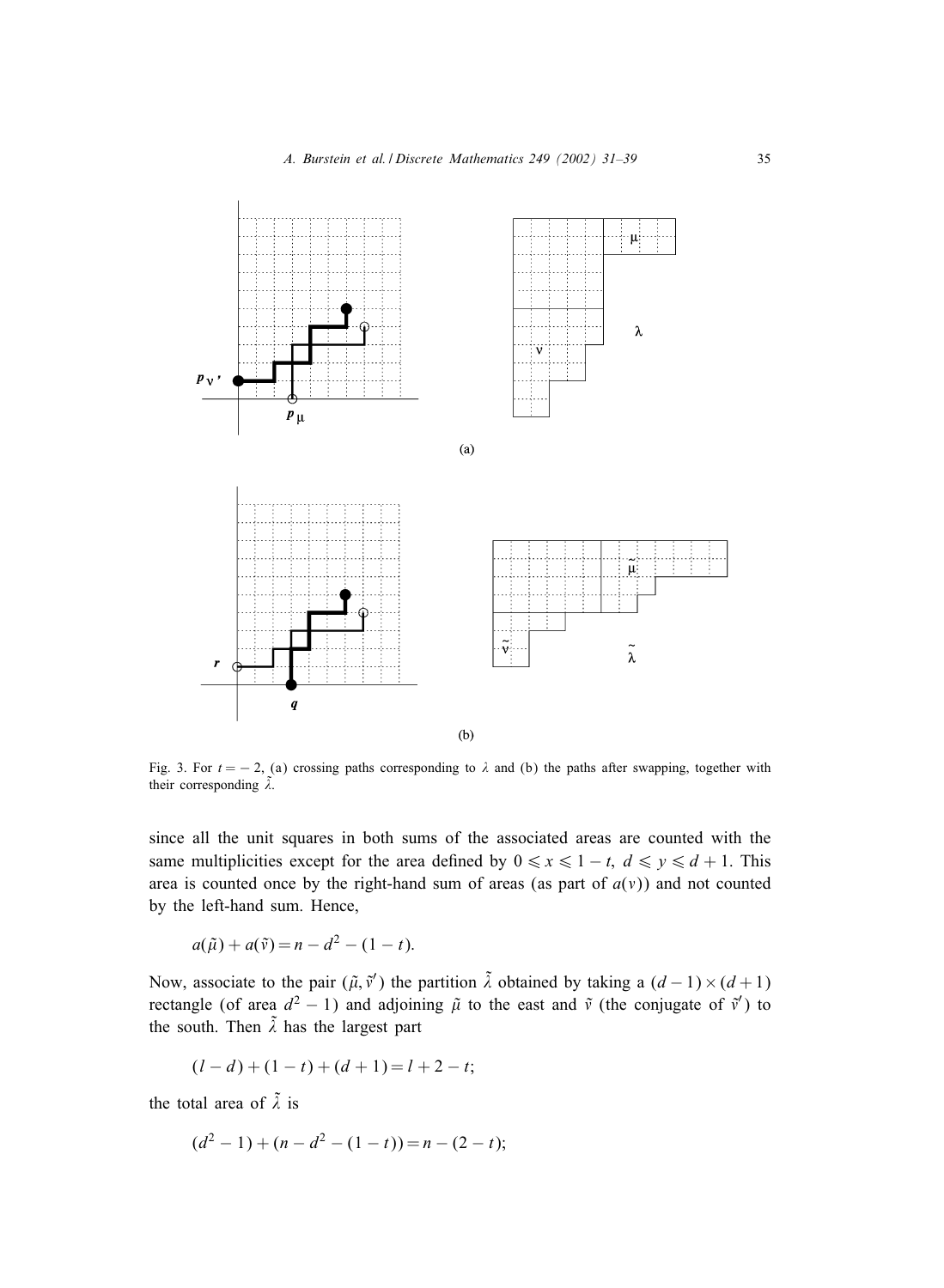

Fig. 3. For  $t = -2$ , (a) crossing paths corresponding to  $\lambda$  and (b) the paths after swapping, together with their corresponding  $\tilde{\lambda}$ .

since all the unit squares in both sums of the associated areas are counted with the same multiplicities except for the area defined by  $0 \le x \le 1 - t$ ,  $d \le y \le d + 1$ . This area is counted once by the right-hand sum of areas (as part of  $a(v)$ ) and not counted by the left-hand sum. Hence,

$$
a(\tilde{\mu}) + a(\tilde{\nu}) = n - d^2 - (1 - t).
$$

Now, associate to the pair  $(\tilde{\mu}, \tilde{v}')$  the partition  $\tilde{\lambda}$  obtained by taking a  $(d-1) \times (d+1)$ rectangle (of area  $d^2 - 1$ ) and adjoining  $\tilde{\mu}$  to the east and  $\tilde{\nu}$  (the conjugate of  $\tilde{\nu}'$ ) to the south. Then  $\tilde{\lambda}$  has the largest part

$$
(l-d) + (1-t) + (d+1) = l + 2 - t;
$$

the total area of  $\tilde{\lambda}$  is

$$
(d2 - 1) + (n - d2 - (1 - t)) = n - (2 - t);
$$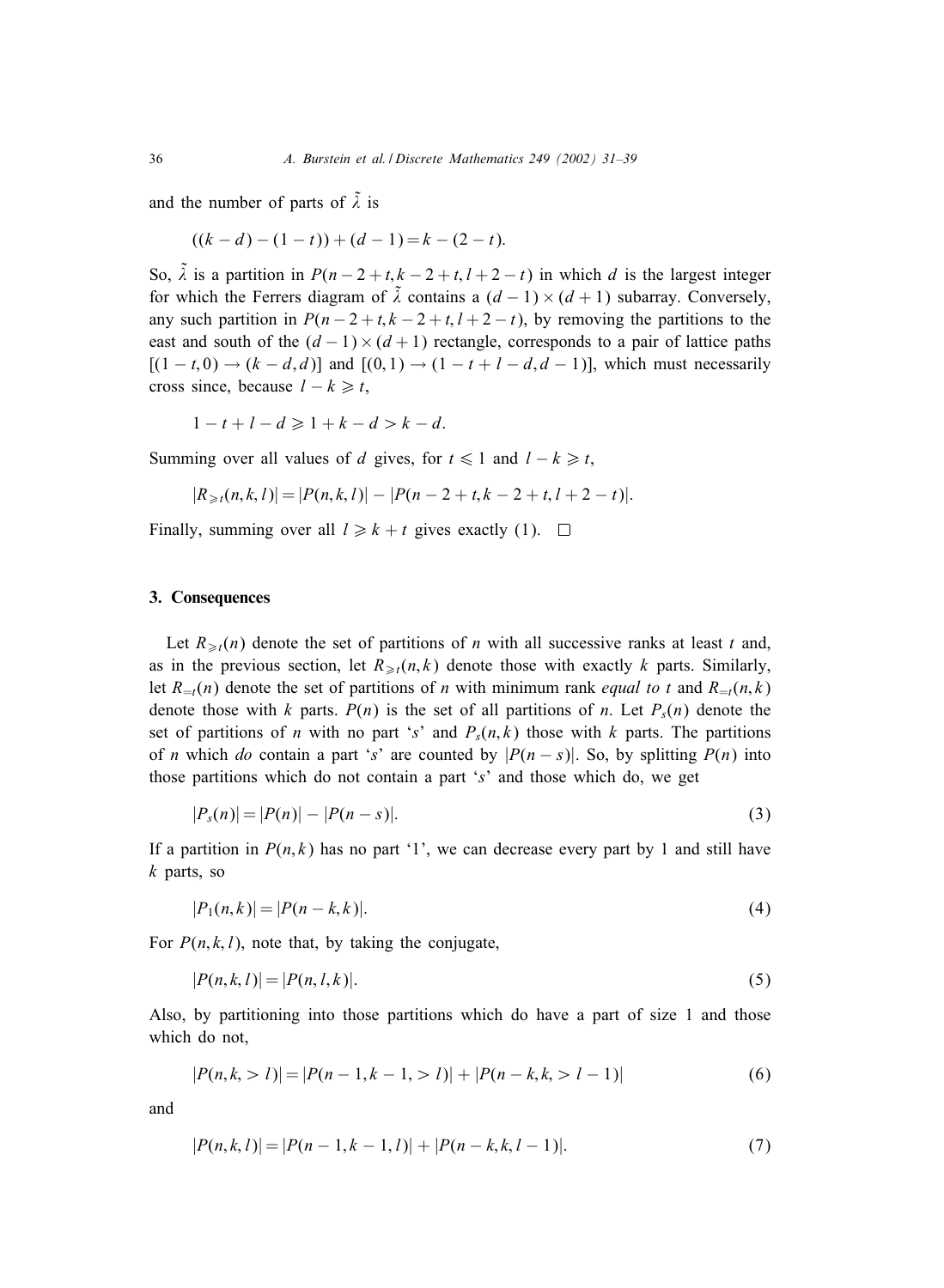and the number of parts of  $\tilde{\lambda}$  is

$$
((k-d)-(1-t))+(d-1)=k-(2-t).
$$

So,  $\tilde{\lambda}$  is a partition in  $P(n-2+t, k-2+t, l+2-t)$  in which d is the largest integer for which the Ferrers diagram of  $\tilde{\lambda}$  contains a  $(d-1) \times (d+1)$  subarray. Conversely, any such partition in  $P(n-2+t, k-2+t, l+2-t)$ , by removing the partitions to the east and south of the  $(d-1) \times (d+1)$  rectangle, corresponds to a pair of lattice paths  $[(1 - t, 0) \rightarrow (k - d, d)]$  and  $[(0, 1) \rightarrow (1 - t + l - d, d - 1)]$ , which must necessarily cross since, because  $l - k \geq t$ ,

$$
1-t+l-d \geqslant 1+k-d > k-d.
$$

Summing over all values of d gives, for  $t \leq 1$  and  $l - k \geq t$ ,

$$
|R_{\geq t}(n,k,l)| = |P(n,k,l)| - |P(n-2+t,k-2+t,l+2-t)|.
$$

Finally, summing over all  $l \geq k + t$  gives exactly (1).  $\Box$ 

### 3. Consequences

Let  $R_{\geq t}(n)$  denote the set of partitions of n with all successive ranks at least t and, as in the previous section, let  $R_{\geq t}(n, k)$  denote those with exactly k parts. Similarly, let  $R_{=t}(n)$  denote the set of partitions of n with minimum rank *equal to t* and  $R_{=t}(n,k)$ denote those with k parts.  $P(n)$  is the set of all partitions of n. Let  $P_s(n)$  denote the set of partitions of *n* with no part 's' and  $P_s(n, k)$  those with k parts. The partitions of *n* which *do* contain a part 's' are counted by  $|P(n-s)|$ . So, by splitting  $P(n)$  into those partitions which do not contain a part 's' and those which do, we get

$$
|P_s(n)| = |P(n)| - |P(n-s)|. \tag{3}
$$

If a partition in  $P(n, k)$  has no part '1', we can decrease every part by 1 and still have  $k$  parts, so

$$
|P_1(n,k)| = |P(n-k,k)|.\t\t(4)
$$

For  $P(n, k, l)$ , note that, by taking the conjugate,

$$
|P(n,k,l)| = |P(n,l,k)|.
$$
 (5)

Also, by partitioning into those partitions which do have a part of size 1 and those which do not,

$$
|P(n,k, > l)| = |P(n-1,k-1, > l)| + |P(n-k,k, > l-1)| \tag{6}
$$

and

$$
|P(n,k,l)| = |P(n-1,k-1,l)| + |P(n-k,k,l-1)|.
$$
\n(7)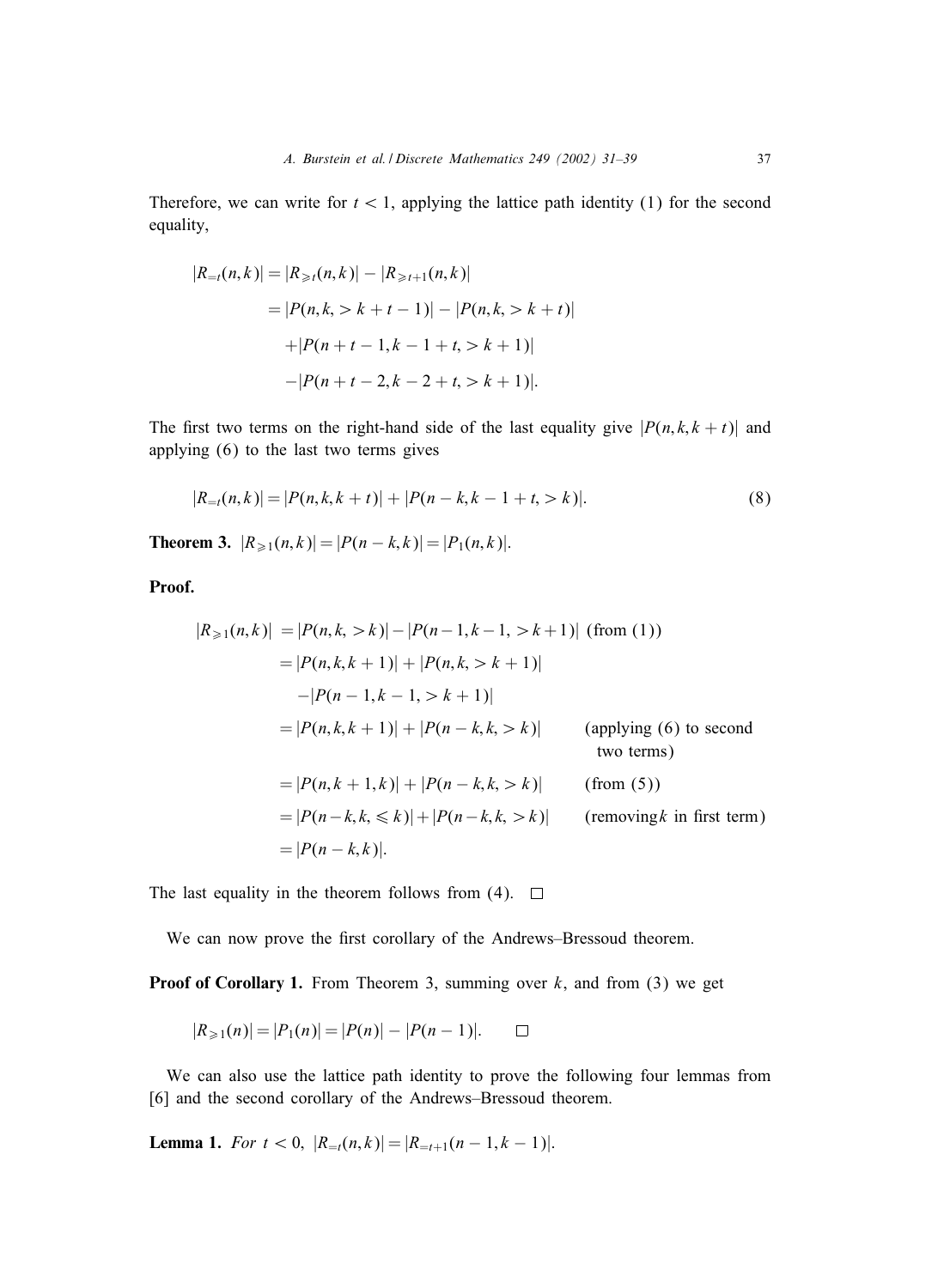Therefore, we can write for  $t < 1$ , applying the lattice path identity (1) for the second equality,

$$
|R_{=t}(n,k)| = |R_{\geq t}(n,k)| - |R_{\geq t+1}(n,k)|
$$
  
= |P(n,k, > k + t - 1)| - |P(n,k, > k + t)|  
+ |P(n + t - 1,k - 1 + t, > k + 1)|  
- |P(n + t - 2,k - 2 + t, > k + 1)|.

The first two terms on the right-hand side of the last equality give  $|P(n, k, k + t)|$  and applying  $(6)$  to the last two terms gives

$$
|R_{=t}(n,k)| = |P(n,k,k+t)| + |P(n-k,k-1+t, >k)|.
$$
\n(8)

**Theorem 3.**  $|R_{\geq 1}(n,k)| = |P(n-k,k)| = |P_1(n,k)|$ .

Proof.

$$
|R_{\geq 1}(n,k)| = |P(n,k, > k)| - |P(n-1,k-1, > k+1)| \text{ (from (1))}
$$
  
\n
$$
= |P(n,k,k+1)| + |P(n,k, > k+1)|
$$
  
\n
$$
-|P(n-1,k-1, > k+1)|
$$
  
\n
$$
= |P(n,k,k+1)| + |P(n-k,k, > k)| \text{ (applying (6) to second two terms)}
$$
  
\n
$$
= |P(n,k+1,k)| + |P(n-k,k, > k)| \text{ (from (5))}
$$
  
\n
$$
= |P(n-k,k, \leq k)| + |P(n-k,k, > k)| \text{ (removing } k \text{ in first term)}
$$
  
\n
$$
= |P(n-k,k)|.
$$

The last equality in the theorem follows from (4).  $\Box$ 

We can now prove the first corollary of the Andrews–Bressoud theorem.

**Proof of Corollary 1.** From Theorem 3, summing over  $k$ , and from (3) we get

$$
|R_{\geq 1}(n)| = |P_1(n)| = |P(n)| - |P(n-1)|. \qquad \Box
$$

We can also use the lattice path identity to prove the following four lemmas from [6] and the second corollary of the Andrews–Bressoud theorem.

**Lemma 1.** *For*  $t < 0$ ,  $|R_{=t}(n,k)| = |R_{=t+1}(n-1,k-1)|$ .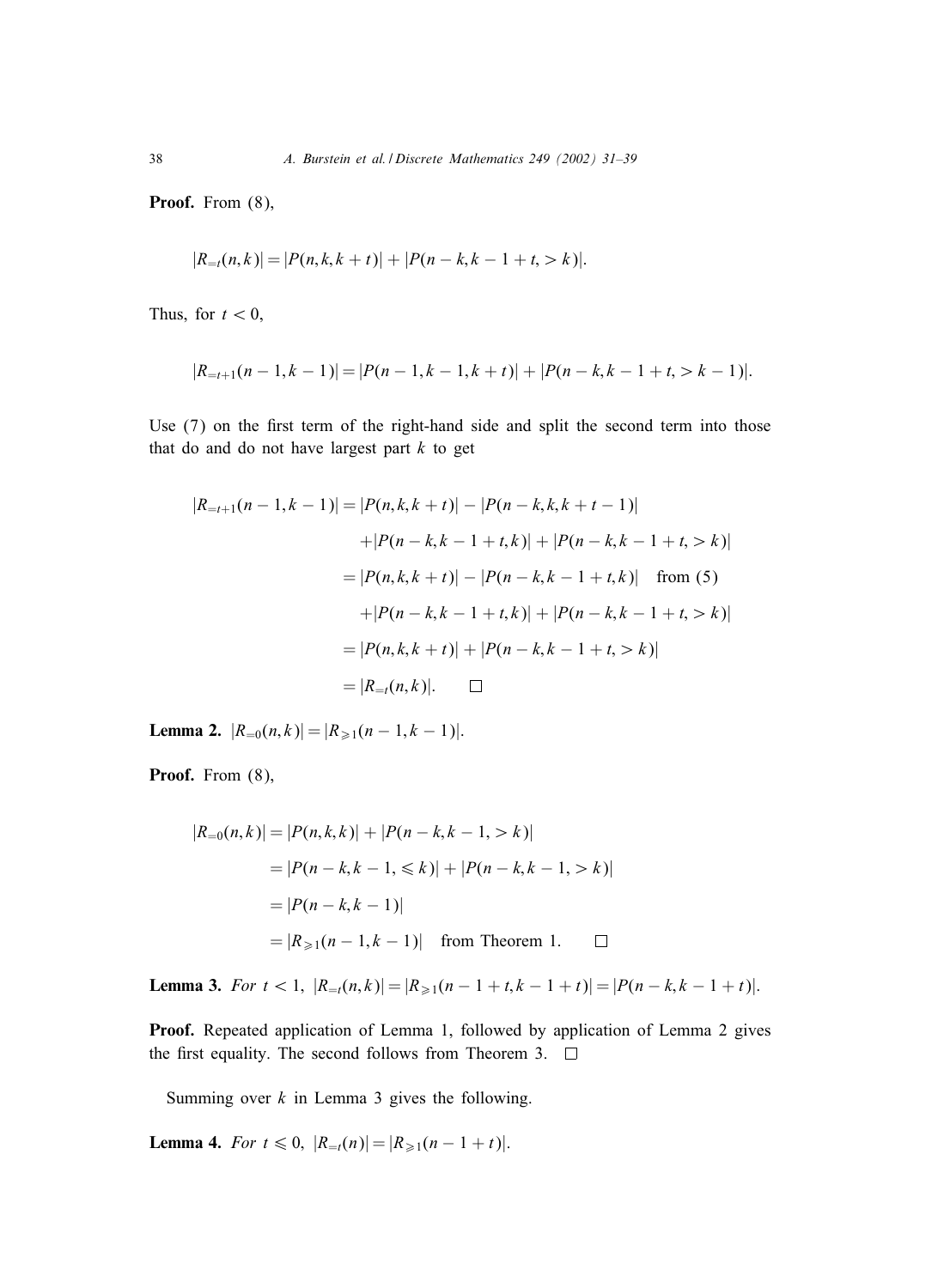Proof. From  $(8)$ ,

$$
|R_{=t}(n,k)| = |P(n,k,k+t)| + |P(n-k,k-1+t, > k)|.
$$

Thus, for  $t < 0$ ,

$$
|R_{=t+1}(n-1,k-1)| = |P(n-1,k-1,k+t)| + |P(n-k,k-1+t, > k-1)|.
$$

Use  $(7)$  on the first term of the right-hand side and split the second term into those that do and do not have largest part  $k$  to get

$$
|R_{=t+1}(n-1,k-1)| = |P(n,k,k+t)| - |P(n-k,k,k+t-1)|
$$
  
+|P(n-k,k-1+t,k)| + |P(n-k,k-1+t, > k)|  
= |P(n,k,k+t)| - |P(n-k,k-1+t,k)| \text{ from (5)}  
+|P(n-k,k-1+t,k)| + |P(n-k,k-1+t, > k)|  
= |P(n,k,k+t)| + |P(n-k,k-1+t, > k)|  
= |R\_{=t}(n,k)|. \quad \Box

Lemma 2.  $|R_{=0}(n,k)| = |R_{\geq 1}(n-1,k-1)|$ .

Proof. From  $(8)$ ,

$$
|R_{=0}(n,k)| = |P(n,k,k)| + |P(n-k,k-1, > k)|
$$
  
= |P(n-k,k-1, \le k)| + |P(n-k,k-1, > k)|  
= |P(n-k,k-1)|  
= |R\_{\ge 1}(n-1,k-1)| from Theorem 1.

**Lemma 3.** *For*  $t < 1$ ,  $|R_{=t}(n,k)| = |R_{\geq 1}(n-1+t,k-1+t)| = |P(n-k,k-1+t)|$ .

Proof. Repeated application of Lemma 1, followed by application of Lemma 2 gives the first equality. The second follows from Theorem 3.  $\Box$ 

Summing over  $k$  in Lemma 3 gives the following.

**Lemma 4.** *For*  $t \le 0$ ,  $|R_{=t}(n)| = |R_{\ge 1}(n-1+t)|$ .